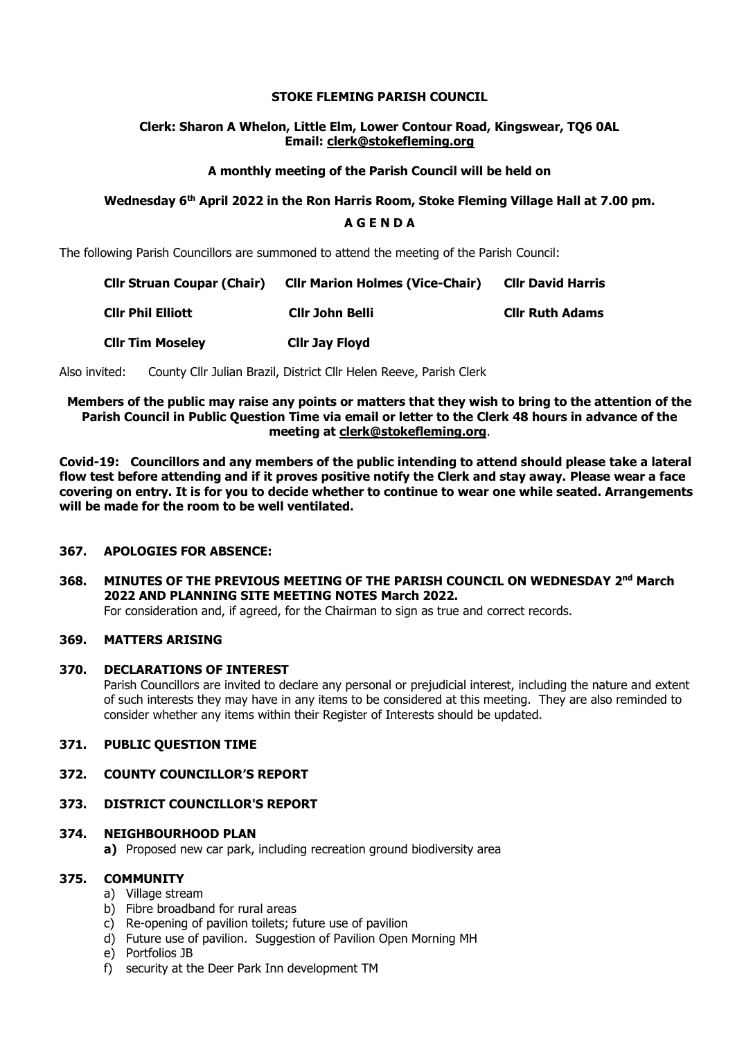#### **STOKE FLEMING PARISH COUNCIL**

#### **Clerk: Sharon A Whelon, Little Elm, Lower Contour Road, Kingswear, TQ6 0AL Email: clerk@stokefleming.org**

#### **A monthly meeting of the Parish Council will be held on**

# **Wednesday 6 th April 2022 in the Ron Harris Room, Stoke Fleming Village Hall at 7.00 pm.**

## **A G E N D A**

The following Parish Councillors are summoned to attend the meeting of the Parish Council:

| <b>Cllr Struan Coupar (Chair)</b> | <b>Cllr Marion Holmes (Vice-Chair)</b> | <b>CIIr David Harris</b> |
|-----------------------------------|----------------------------------------|--------------------------|
| <b>CIIr Phil Elliott</b>          | Cllr John Belli                        | <b>Clir Ruth Adams</b>   |
| <b>CIIr Tim Moseley</b>           | <b>Clir Jay Floyd</b>                  |                          |

Also invited: County Cllr Julian Brazil, District Cllr Helen Reeve, Parish Clerk

#### **Members of the public may raise any points or matters that they wish to bring to the attention of the Parish Council in Public Question Time via email or letter to the Clerk 48 hours in advance of the meeting at [clerk@stokefleming.org](about:blank)**.

**Covid-19: Councillors and any members of the public intending to attend should please take a lateral flow test before attending and if it proves positive notify the Clerk and stay away. Please wear a face covering on entry. It is for you to decide whether to continue to wear one while seated. Arrangements will be made for the room to be well ventilated.**

#### **367. APOLOGIES FOR ABSENCE:**

**368. MINUTES OF THE PREVIOUS MEETING OF THE PARISH COUNCIL ON WEDNESDAY 2 nd March 2022 AND PLANNING SITE MEETING NOTES March 2022.** For consideration and, if agreed, for the Chairman to sign as true and correct records.

#### **369. MATTERS ARISING**

#### **370. DECLARATIONS OF INTEREST**

Parish Councillors are invited to declare any personal or prejudicial interest, including the nature and extent of such interests they may have in any items to be considered at this meeting. They are also reminded to consider whether any items within their Register of Interests should be updated.

#### **371. PUBLIC QUESTION TIME**

#### **372. COUNTY COUNCILLOR'S REPORT**

#### **373. DISTRICT COUNCILLOR'S REPORT**

#### **374. NEIGHBOURHOOD PLAN**

**a)** Proposed new car park, including recreation ground biodiversity area

#### **375. COMMUNITY**

- a) Village stream
- b) Fibre broadband for rural areas
- c) Re-opening of pavilion toilets; future use of pavilion
- d) Future use of pavilion. Suggestion of Pavilion Open Morning MH
- e) Portfolios JB
- f) security at the Deer Park Inn development TM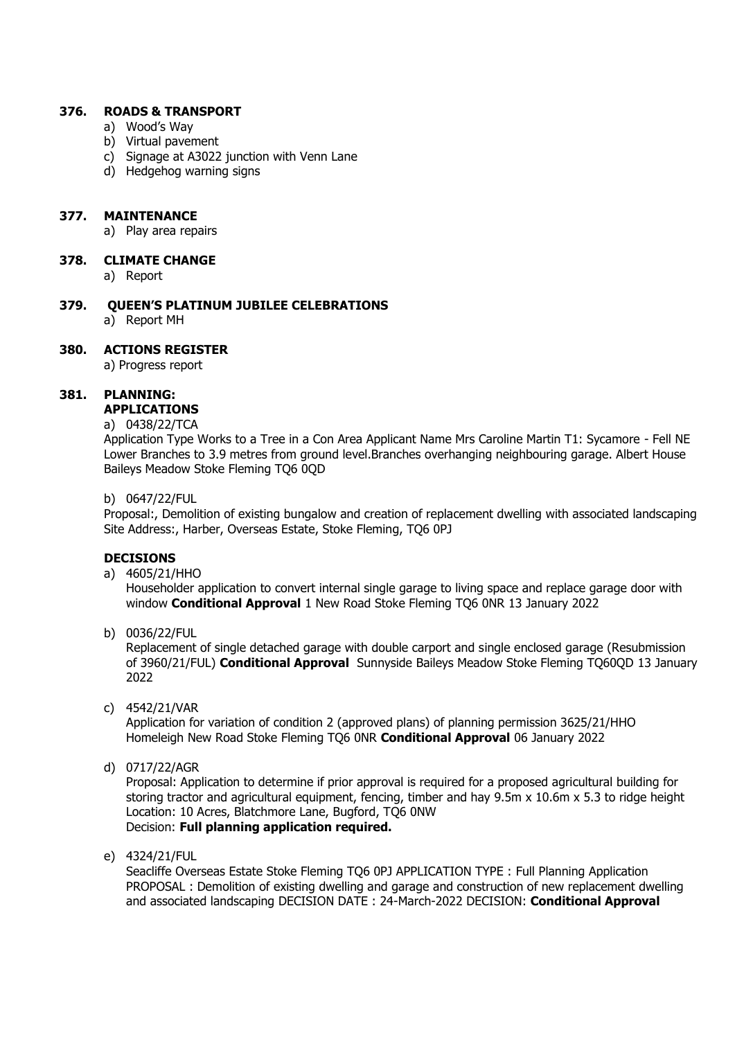#### **376. ROADS & TRANSPORT**

- a) Wood's Way
- b) Virtual pavement
- c) Signage at A3022 junction with Venn Lane
- d) Hedgehog warning signs

#### **377. MAINTENANCE**

a) Play area repairs

#### **378. CLIMATE CHANGE**

- a) Report
- **379. QUEEN'S PLATINUM JUBILEE CELEBRATIONS** a) Report MH

## **380. ACTIONS REGISTER**

a) Progress report

## **381. PLANNING:**

# **APPLICATIONS**

# a) 0438/22/TCA

Application Type Works to a Tree in a Con Area Applicant Name Mrs Caroline Martin T1: Sycamore - Fell NE Lower Branches to 3.9 metres from ground level.Branches overhanging neighbouring garage. Albert House Baileys Meadow Stoke Fleming TQ6 0QD

#### b) 0647/22/FUL

Proposal:, Demolition of existing bungalow and creation of replacement dwelling with associated landscaping Site Address:, Harber, Overseas Estate, Stoke Fleming, TO6 0PJ

#### **DECISIONS**

a) 4605/21/HHO

Householder application to convert internal single garage to living space and replace garage door with window **Conditional Approval** 1 New Road Stoke Fleming TQ6 0NR 13 January 2022

b) 0036/22/FUL

Replacement of single detached garage with double carport and single enclosed garage (Resubmission of 3960/21/FUL) **Conditional Approval** Sunnyside Baileys Meadow Stoke Fleming TQ60QD 13 January 2022

c) 4542/21/VAR

Application for variation of condition 2 (approved plans) of planning permission 3625/21/HHO Homeleigh New Road Stoke Fleming TQ6 0NR **Conditional Approval** 06 January 2022

d) 0717/22/AGR

Proposal: Application to determine if prior approval is required for a proposed agricultural building for storing tractor and agricultural equipment, fencing, timber and hay 9.5m x 10.6m x 5.3 to ridge height Location: 10 Acres, Blatchmore Lane, Bugford, TQ6 0NW Decision: **Full planning application required.**

e) 4324/21/FUL

Seacliffe Overseas Estate Stoke Fleming TQ6 0PJ APPLICATION TYPE : Full Planning Application PROPOSAL : Demolition of existing dwelling and garage and construction of new replacement dwelling and associated landscaping DECISION DATE : 24-March-2022 DECISION: **Conditional Approval**